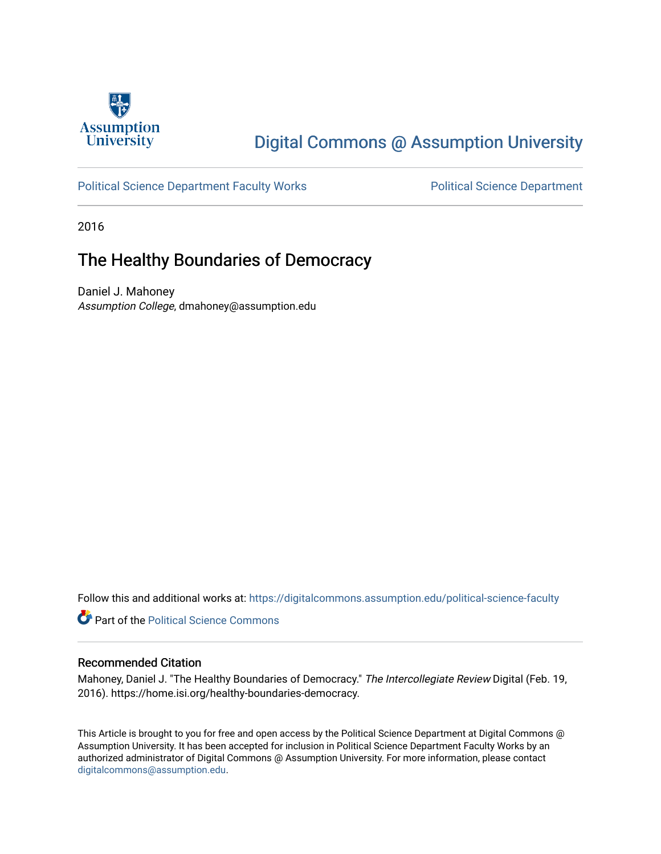

## [Digital Commons @ Assumption University](https://digitalcommons.assumption.edu/)

#### [Political Science Department Faculty Works](https://digitalcommons.assumption.edu/political-science-faculty) **Political Science Department**

2016

### The Healthy Boundaries of Democracy

Daniel J. Mahoney Assumption College, dmahoney@assumption.edu

Follow this and additional works at: [https://digitalcommons.assumption.edu/political-science-faculty](https://digitalcommons.assumption.edu/political-science-faculty?utm_source=digitalcommons.assumption.edu%2Fpolitical-science-faculty%2F23&utm_medium=PDF&utm_campaign=PDFCoverPages)

**Part of the Political Science Commons** 

#### Recommended Citation

Mahoney, Daniel J. "The Healthy Boundaries of Democracy." The Intercollegiate Review Digital (Feb. 19, 2016). https://home.isi.org/healthy-boundaries-democracy.

This Article is brought to you for free and open access by the Political Science Department at Digital Commons @ Assumption University. It has been accepted for inclusion in Political Science Department Faculty Works by an authorized administrator of Digital Commons @ Assumption University. For more information, please contact [digitalcommons@assumption.edu](mailto:digitalcommons@assumption.edu).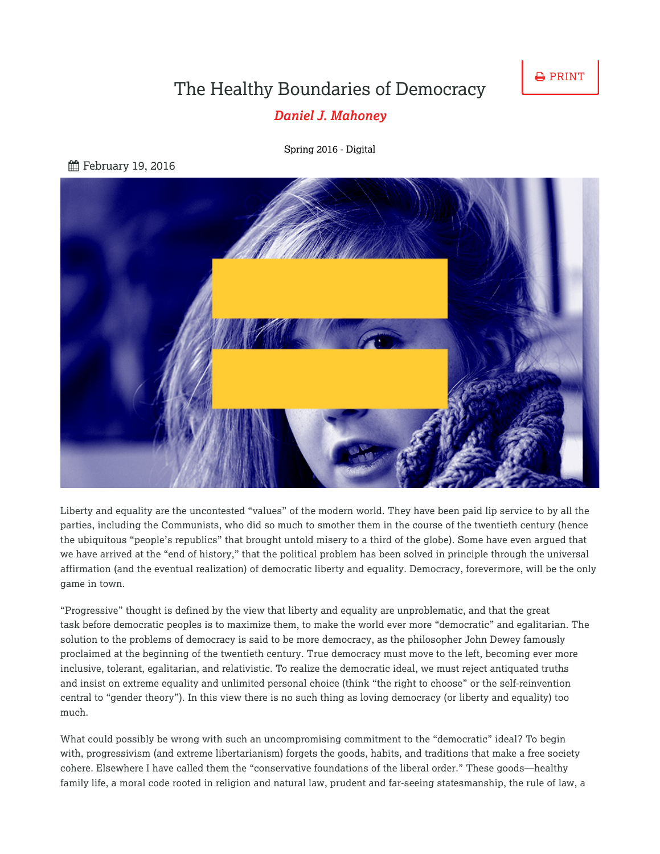**A** PRINT

# The Healthy Boundaries of Democracy

### *[Daniel J. Mahoney](https://home.isi.org/intercollegiate-review/author/2386)*

[Spring](https://home.isi.org/journal-issue/spring-2016-digital) 2016 - Digital

**角 February 19, 2016** 



Liberty and equality are the uncontested "values" of the modern world. They have been paid lip service to by all the parties, including the Communists, who did so much to smother them in the course of the twentieth century (hence the ubiquitous "people's republics" that brought untold misery to a third of the globe). Some have even argued that we have arrived at the "end of history," that the political problem has been solved in principle through the universal affirmation (and the eventual realization) of democratic liberty and equality. Democracy, forevermore, will be the only game in town.

"Progressive" thought is defined by the view that liberty and equality are unproblematic, and that the great task before democratic peoples is to maximize them, to make the world ever more "democratic" and egalitarian. The solution to the problems of democracy is said to be more democracy, as the philosopher John Dewey famously proclaimed at the beginning of the twentieth century. True democracy must move to the left, becoming ever more inclusive, tolerant, egalitarian, and relativistic. To realize the democratic ideal, we must reject antiquated truths and insist on extreme equality and unlimited personal choice (think "the right to choose" or the self-reinvention central to "gender theory"). In this view there is no such thing as loving democracy (or liberty and equality) too much.

What could possibly be wrong with such an uncompromising commitment to the "democratic" ideal? To begin with, progressivism (and extreme libertarianism) forgets the goods, habits, and traditions that make a free society cohere. Elsewhere I have called them the "conservative foundations of the liberal order." These goods—healthy family life, a moral code rooted in religion and natural law, prudent and far-seeing statesmanship, the rule of law, a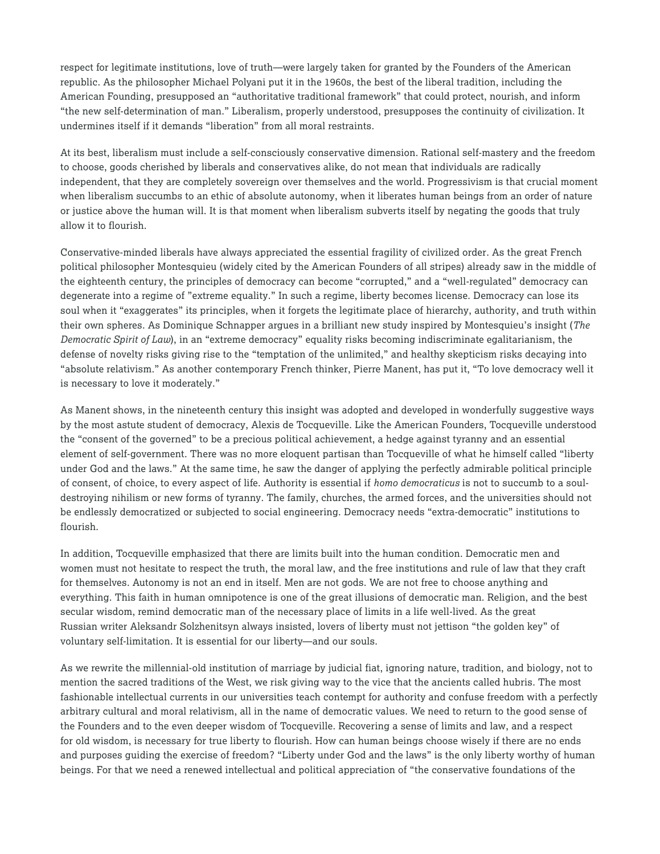respect for legitimate institutions, love of truth—were largely taken for granted by the Founders of the American republic. As the philosopher Michael Polyani put it in the 1960s, the best of the liberal tradition, including the American Founding, presupposed an "authoritative traditional framework" that could protect, nourish, and inform "the new self-determination of man." Liberalism, properly understood, presupposes the continuity of civilization. It undermines itself if it demands "liberation" from all moral restraints.

At its best, liberalism must include a self-consciously conservative dimension. Rational self-mastery and the freedom to choose, goods cherished by liberals and conservatives alike, do not mean that individuals are radically independent, that they are completely sovereign over themselves and the world. Progressivism is that crucial moment when liberalism succumbs to an ethic of absolute autonomy, when it liberates human beings from an order of nature or justice above the human will. It is that moment when liberalism subverts itself by negating the goods that truly allow it to flourish.

Conservative-minded liberals have always appreciated the essential fragility of civilized order. As the great French political philosopher Montesquieu (widely cited by the American Founders of all stripes) already saw in the middle of the eighteenth century, the principles of democracy can become "corrupted," and a "well-regulated" democracy can degenerate into a regime of "extreme equality." In such a regime, liberty becomes license. Democracy can lose its soul when it "exaggerates" its principles, when it forgets the legitimate place of hierarchy, authority, and truth within their own spheres. As Dominique Schnapper argues in a brilliant new study inspired by Montesquieu's insight (*The Democratic Spirit of Law*), in an "extreme democracy" equality risks becoming indiscriminate egalitarianism, the defense of novelty risks giving rise to the "temptation of the unlimited," and healthy skepticism risks decaying into "absolute relativism." As another contemporary French thinker, Pierre Manent, has put it, "To love democracy well it is necessary to love it moderately."

As Manent shows, in the nineteenth century this insight was adopted and developed in wonderfully suggestive ways by the most astute student of democracy, Alexis de Tocqueville. Like the American Founders, Tocqueville understood the "consent of the governed" to be a precious political achievement, a hedge against tyranny and an essential element of self-government. There was no more eloquent partisan than Tocqueville of what he himself called "liberty under God and the laws." At the same time, he saw the danger of applying the perfectly admirable political principle of consent, of choice, to every aspect of life. Authority is essential if *homo democraticus* is not to succumb to a souldestroying nihilism or new forms of tyranny. The family, churches, the armed forces, and the universities should not be endlessly democratized or subjected to social engineering. Democracy needs "extra-democratic" institutions to flourish.

In addition, Tocqueville emphasized that there are limits built into the human condition. Democratic men and women must not hesitate to respect the truth, the moral law, and the free institutions and rule of law that they craft for themselves. Autonomy is not an end in itself. Men are not gods. We are not free to choose anything and everything. This faith in human omnipotence is one of the great illusions of democratic man. Religion, and the best secular wisdom, remind democratic man of the necessary place of limits in a life well-lived. As the great Russian writer Aleksandr Solzhenitsyn always insisted, lovers of liberty must not jettison "the golden key" of voluntary self-limitation. It is essential for our liberty—and our souls.

As we rewrite the millennial-old institution of marriage by judicial fiat, ignoring nature, tradition, and biology, not to mention the sacred traditions of the West, we risk giving way to the vice that the ancients called hubris. The most fashionable intellectual currents in our universities teach contempt for authority and confuse freedom with a perfectly arbitrary cultural and moral relativism, all in the name of democratic values. We need to return to the good sense of the Founders and to the even deeper wisdom of Tocqueville. Recovering a sense of limits and law, and a respect for old wisdom, is necessary for true liberty to flourish. How can human beings choose wisely if there are no ends and purposes guiding the exercise of freedom? "Liberty under God and the laws" is the only liberty worthy of human beings. For that we need a renewed intellectual and political appreciation of "the conservative foundations of the